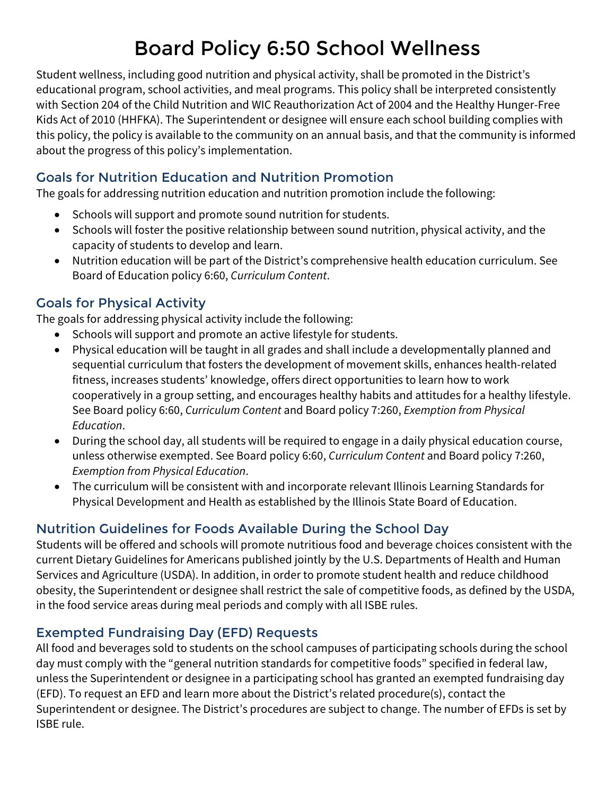# Board Policy 6:50 School Wellness

Student wellness, including good nutrition and physical activity, shall be promoted in the District's educational program, school activities, and meal programs. This policy shall be interpreted consistently with Section 204 of the Child Nutrition and WIC Reauthorization Act of 2004 and the Healthy Hunger-Free Kids Act of 2010 (HHFKA). The Superintendent or designee will ensure each school building complies with this policy, the policy is available to the community on an annual basis, and that the community is informed about the progress of this policy's implementation.

## Goals for Nutrition Education and Nutrition Promotion

The goals for addressing nutrition education and nutrition promotion include the following:

- Schools will support and promote sound nutrition for students.
- Schools will foster the positive relationship between sound nutrition, physical activity, and the capacity of students to develop and learn.
- Nutrition education will be part of the District's comprehensive health education curriculum. See Board of Education policy 6:60, *Curriculum Content*.

# Goals for Physical Activity

The goals for addressing physical activity include the following:

- Schools will support and promote an active lifestyle for students.
- Physical education will be taught in all grades and shall include a developmentally planned and sequential curriculum that fosters the development of movement skills, enhances health-related fitness, increases students' knowledge, offers direct opportunities to learn how to work cooperatively in a group setting, and encourages healthy habits and attitudes for a healthy lifestyle. See Board policy 6:60, *Curriculum Content* and Board policy 7:260, *Exemption from Physical Education*.
- During the school day, all students will be required to engage in a daily physical education course, unless otherwise exempted. See Board policy 6:60, *Curriculum Content* and Board policy 7:260, *Exemption from Physical Education*.
- The curriculum will be consistent with and incorporate relevant Illinois Learning Standards for Physical Development and Health as established by the Illinois State Board of Education.

## Nutrition Guidelines for Foods Available During the School Day

Students will be offered and schools will promote nutritious food and beverage choices consistent with the current Dietary Guidelines for Americans published jointly by the U.S. Departments of Health and Human Services and Agriculture (USDA). In addition, in order to promote student health and reduce childhood obesity, the Superintendent or designee shall restrict the sale of competitive foods, as defined by the USDA, in the food service areas during meal periods and comply with all ISBE rules.

## Exempted Fundraising Day (EFD) Requests

All food and beverages sold to students on the school campuses of participating schools during the school day must comply with the "general nutrition standards for competitive foods" specified in federal law, unless the Superintendent or designee in a participating school has granted an exempted fundraising day (EFD). To request an EFD and learn more about the District's related procedure(s), contact the Superintendent or designee. The District's procedures are subject to change. The number of EFDs is set by ISBE rule.